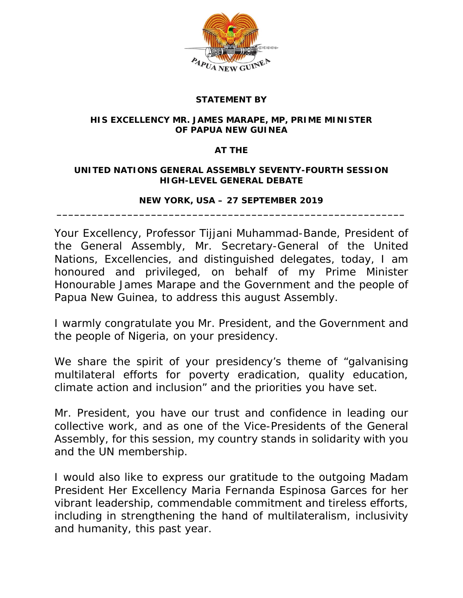

#### **STATEMENT BY**

#### **HIS EXCELLENCY MR. JAMES MARAPE, MP, PRIME MINISTER OF PAPUA NEW GUINEA**

#### **AT THE**

#### **UNITED NATIONS GENERAL ASSEMBLY SEVENTY-FOURTH SESSION HIGH-LEVEL GENERAL DEBATE**

#### **NEW YORK, USA – 27 SEPTEMBER 2019 \_\_\_\_\_\_\_\_\_\_\_\_\_\_\_\_\_\_\_\_\_\_\_\_\_\_\_\_\_\_\_\_\_\_\_\_\_\_\_\_\_\_\_\_\_\_\_\_\_\_\_\_\_\_\_\_\_\_\_**

Your Excellency, Professor Tijjani Muhammad-Bande, President of the General Assembly, Mr. Secretary-General of the United Nations, Excellencies, and distinguished delegates, today, I am honoured and privileged, on behalf of my Prime Minister Honourable James Marape and the Government and the people of Papua New Guinea, to address this august Assembly.

I warmly congratulate you Mr. President, and the Government and the people of Nigeria, on your presidency.

We share the spirit of your presidency's theme of "galvanising multilateral efforts for poverty eradication, quality education, climate action and inclusion" and the priorities you have set.

Mr. President, you have our trust and confidence in leading our collective work, and as one of the Vice-Presidents of the General Assembly, for this session, my country stands in solidarity with you and the UN membership.

I would also like to express our gratitude to the outgoing Madam President Her Excellency Maria Fernanda Espinosa Garces for her vibrant leadership, commendable commitment and tireless efforts, including in strengthening the hand of multilateralism, inclusivity and humanity, this past year.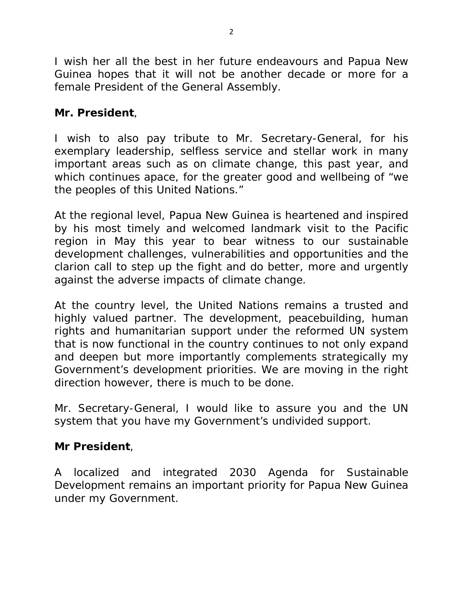I wish her all the best in her future endeavours and Papua New Guinea hopes that it will not be another decade or more for a female President of the General Assembly.

# **Mr. President**,

I wish to also pay tribute to Mr. Secretary-General, for his exemplary leadership, selfless service and stellar work in many important areas such as on climate change, this past year, and which continues apace, for the greater good and wellbeing of "we the peoples of this United Nations."

At the regional level, Papua New Guinea is heartened and inspired by his most timely and welcomed landmark visit to the Pacific region in May this year to bear witness to our sustainable development challenges, vulnerabilities and opportunities and the clarion call to step up the fight and do better, more and urgently against the adverse impacts of climate change.

At the country level, the United Nations remains a trusted and highly valued partner. The development, peacebuilding, human rights and humanitarian support under the reformed UN system that is now functional in the country continues to not only expand and deepen but more importantly complements strategically my Government's development priorities. We are moving in the right direction however, there is much to be done.

Mr. Secretary-General, I would like to assure you and the UN system that you have my Government's undivided support.

## **Mr President**,

A localized and integrated 2030 Agenda for Sustainable Development remains an important priority for Papua New Guinea under my Government.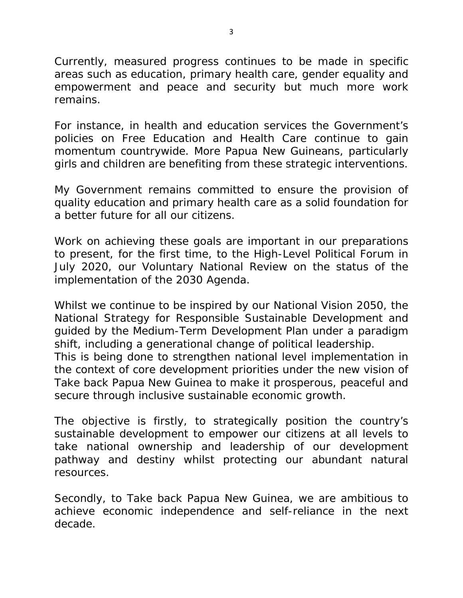Currently, measured progress continues to be made in specific areas such as education, primary health care, gender equality and empowerment and peace and security but much more work remains.

For instance, in health and education services the Government's policies on Free Education and Health Care continue to gain momentum countrywide. More Papua New Guineans, particularly girls and children are benefiting from these strategic interventions.

My Government remains committed to ensure the provision of quality education and primary health care as a solid foundation for a better future for all our citizens.

Work on achieving these goals are important in our preparations to present, for the first time, to the High-Level Political Forum in July 2020, our Voluntary National Review on the status of the implementation of the 2030 Agenda.

Whilst we continue to be inspired by our National Vision 2050, the National Strategy for Responsible Sustainable Development and guided by the Medium-Term Development Plan under a paradigm shift, including a generational change of political leadership.

This is being done to strengthen national level implementation in the context of core development priorities under the new vision of Take back Papua New Guinea to make it prosperous, peaceful and secure through inclusive sustainable economic growth.

The objective is firstly, to strategically position the country's sustainable development to empower our citizens at all levels to take national ownership and leadership of our development pathway and destiny whilst protecting our abundant natural resources.

Secondly, to Take back Papua New Guinea, we are ambitious to achieve economic independence and self-reliance in the next decade.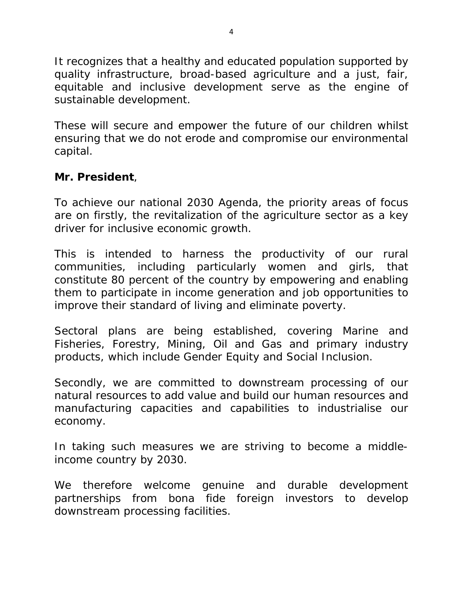It recognizes that a healthy and educated population supported by quality infrastructure, broad-based agriculture and a just, fair, equitable and inclusive development serve as the engine of sustainable development.

These will secure and empower the future of our children whilst ensuring that we do not erode and compromise our environmental capital.

## **Mr. President**,

To achieve our national 2030 Agenda, the priority areas of focus are on firstly, the revitalization of the agriculture sector as a key driver for inclusive economic growth.

This is intended to harness the productivity of our rural communities, including particularly women and girls, that constitute 80 percent of the country by empowering and enabling them to participate in income generation and job opportunities to improve their standard of living and eliminate poverty.

Sectoral plans are being established, covering Marine and Fisheries, Forestry, Mining, Oil and Gas and primary industry products, which include Gender Equity and Social Inclusion.

Secondly, we are committed to downstream processing of our natural resources to add value and build our human resources and manufacturing capacities and capabilities to industrialise our economy.

In taking such measures we are striving to become a middleincome country by 2030.

We therefore welcome genuine and durable development partnerships from bona fide foreign investors to develop downstream processing facilities.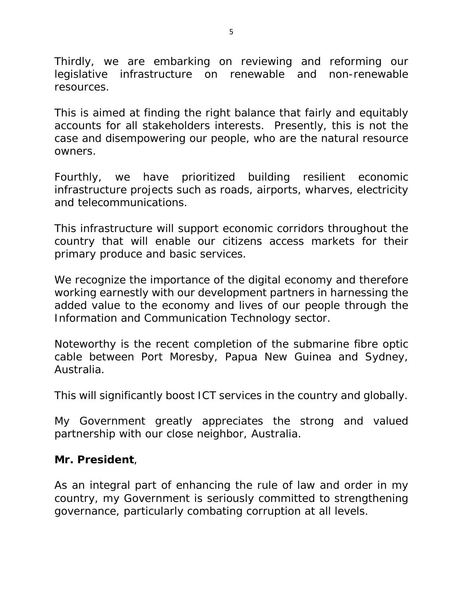Thirdly, we are embarking on reviewing and reforming our legislative infrastructure on renewable and non-renewable resources.

This is aimed at finding the right balance that fairly and equitably accounts for all stakeholders interests. Presently, this is not the case and disempowering our people, who are the natural resource owners.

Fourthly, we have prioritized building resilient economic infrastructure projects such as roads, airports, wharves, electricity and telecommunications.

This infrastructure will support economic corridors throughout the country that will enable our citizens access markets for their primary produce and basic services.

We recognize the importance of the digital economy and therefore working earnestly with our development partners in harnessing the added value to the economy and lives of our people through the Information and Communication Technology sector.

Noteworthy is the recent completion of the submarine fibre optic cable between Port Moresby, Papua New Guinea and Sydney, Australia.

This will significantly boost ICT services in the country and globally.

My Government greatly appreciates the strong and valued partnership with our close neighbor, Australia.

## **Mr. President**,

As an integral part of enhancing the rule of law and order in my country, my Government is seriously committed to strengthening governance, particularly combating corruption at all levels.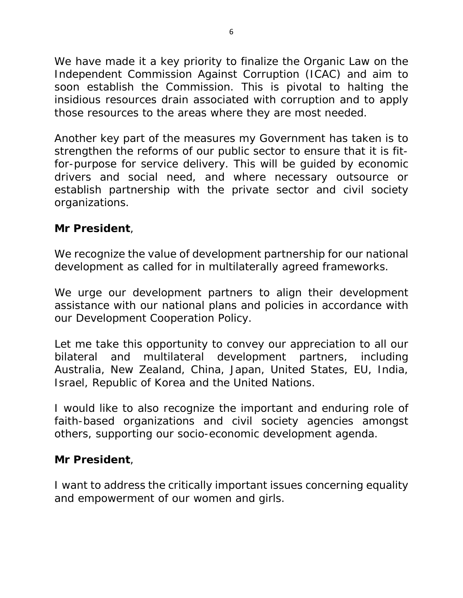We have made it a key priority to finalize the Organic Law on the Independent Commission Against Corruption (ICAC) and aim to soon establish the Commission. This is pivotal to halting the insidious resources drain associated with corruption and to apply those resources to the areas where they are most needed.

Another key part of the measures my Government has taken is to strengthen the reforms of our public sector to ensure that it is fitfor-purpose for service delivery. This will be guided by economic drivers and social need, and where necessary outsource or establish partnership with the private sector and civil society organizations.

# **Mr President**,

We recognize the value of development partnership for our national development as called for in multilaterally agreed frameworks.

We urge our development partners to align their development assistance with our national plans and policies in accordance with our Development Cooperation Policy.

Let me take this opportunity to convey our appreciation to all our bilateral and multilateral development partners, including Australia, New Zealand, China, Japan, United States, EU, India, Israel, Republic of Korea and the United Nations.

I would like to also recognize the important and enduring role of faith-based organizations and civil society agencies amongst others, supporting our socio-economic development agenda.

## **Mr President**,

I want to address the critically important issues concerning equality and empowerment of our women and girls.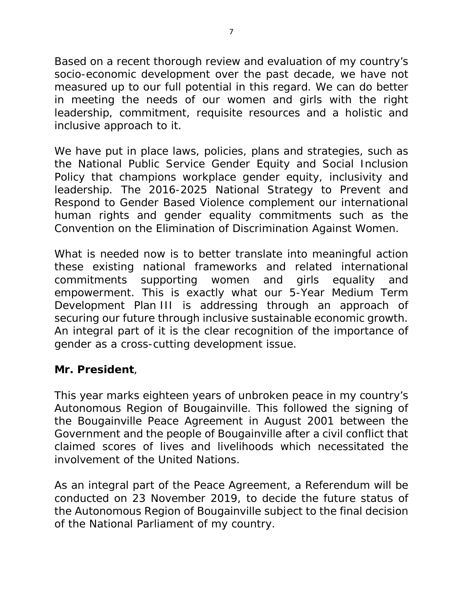Based on a recent thorough review and evaluation of my country's socio-economic development over the past decade, we have not measured up to our full potential in this regard. We can do better in meeting the needs of our women and girls with the right leadership, commitment, requisite resources and a holistic and inclusive approach to it.

We have put in place laws, policies, plans and strategies, such as the National Public Service Gender Equity and Social Inclusion Policy that champions workplace gender equity, inclusivity and leadership. The 2016-2025 National Strategy to Prevent and Respond to Gender Based Violence complement our international human rights and gender equality commitments such as the Convention on the Elimination of Discrimination Against Women.

What is needed now is to better translate into meaningful action these existing national frameworks and related international commitments supporting women and girls equality and empowerment. This is exactly what our 5-Year Medium Term Development Plan III is addressing through an approach of securing our future through inclusive sustainable economic growth. An integral part of it is the clear recognition of the importance of gender as a cross-cutting development issue.

#### **Mr. President**,

This year marks eighteen years of unbroken peace in my country's Autonomous Region of Bougainville. This followed the signing of the Bougainville Peace Agreement in August 2001 between the Government and the people of Bougainville after a civil conflict that claimed scores of lives and livelihoods which necessitated the involvement of the United Nations.

As an integral part of the Peace Agreement, a Referendum will be conducted on 23 November 2019, to decide the future status of the Autonomous Region of Bougainville subject to the final decision of the National Parliament of my country.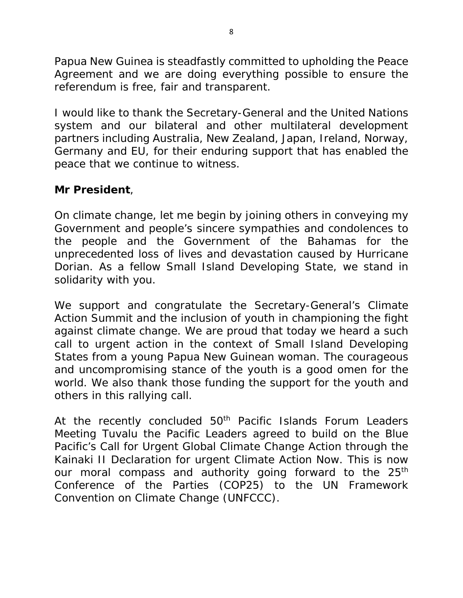Papua New Guinea is steadfastly committed to upholding the Peace Agreement and we are doing everything possible to ensure the referendum is free, fair and transparent.

I would like to thank the Secretary-General and the United Nations system and our bilateral and other multilateral development partners including Australia, New Zealand, Japan, Ireland, Norway, Germany and EU, for their enduring support that has enabled the peace that we continue to witness.

# **Mr President**,

On climate change, let me begin by joining others in conveying my Government and people's sincere sympathies and condolences to the people and the Government of the Bahamas for the unprecedented loss of lives and devastation caused by Hurricane Dorian. As a fellow Small Island Developing State, we stand in solidarity with you.

We support and congratulate the Secretary-General's Climate Action Summit and the inclusion of youth in championing the fight against climate change. We are proud that today we heard a such call to urgent action in the context of Small Island Developing States from a young Papua New Guinean woman. The courageous and uncompromising stance of the youth is a good omen for the world. We also thank those funding the support for the youth and others in this rallying call.

At the recently concluded 50<sup>th</sup> Pacific Islands Forum Leaders Meeting Tuvalu the Pacific Leaders agreed to build on the Blue Pacific's Call for Urgent Global Climate Change Action through the Kainaki II Declaration for urgent Climate Action Now. This is now our moral compass and authority going forward to the 25<sup>th</sup> Conference of the Parties (COP25) to the UN Framework Convention on Climate Change (UNFCCC).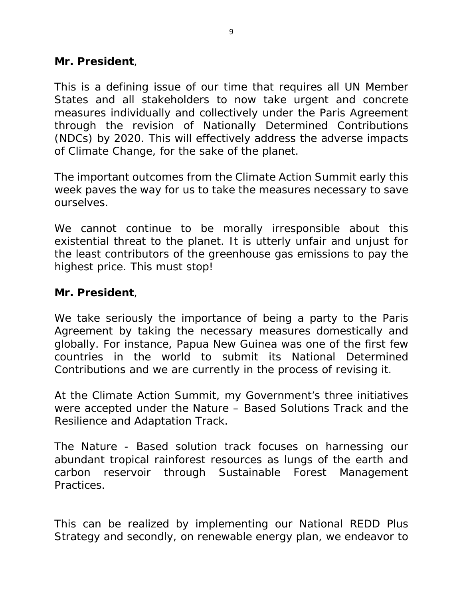#### **Mr. President**,

This is a defining issue of our time that requires all UN Member States and all stakeholders to now take urgent and concrete measures individually and collectively under the Paris Agreement through the revision of Nationally Determined Contributions (NDCs) by 2020. This will effectively address the adverse impacts of Climate Change, for the sake of the planet.

The important outcomes from the Climate Action Summit early this week paves the way for us to take the measures necessary to save ourselves.

We cannot continue to be morally irresponsible about this existential threat to the planet. It is utterly unfair and unjust for the least contributors of the greenhouse gas emissions to pay the highest price. This must stop!

#### **Mr. President**,

We take seriously the importance of being a party to the Paris Agreement by taking the necessary measures domestically and globally. For instance, Papua New Guinea was one of the first few countries in the world to submit its National Determined Contributions and we are currently in the process of revising it.

At the Climate Action Summit, my Government's three initiatives were accepted under the Nature – Based Solutions Track and the Resilience and Adaptation Track.

The Nature - Based solution track focuses on harnessing our abundant tropical rainforest resources as lungs of the earth and carbon reservoir through Sustainable Forest Management Practices.

This can be realized by implementing our National REDD Plus Strategy and secondly, on renewable energy plan, we endeavor to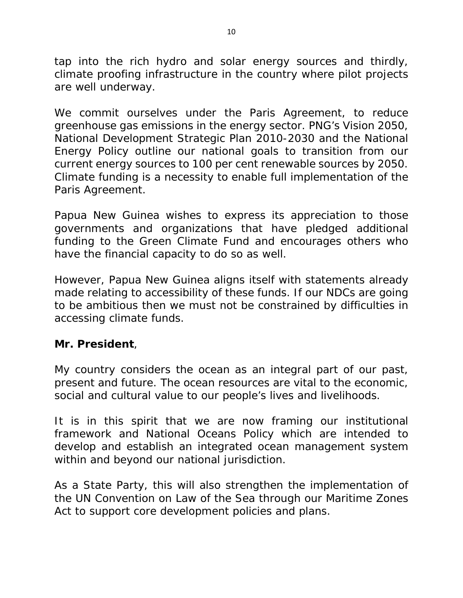tap into the rich hydro and solar energy sources and thirdly, climate proofing infrastructure in the country where pilot projects are well underway.

We commit ourselves under the Paris Agreement, to reduce greenhouse gas emissions in the energy sector. PNG's Vision 2050, National Development Strategic Plan 2010-2030 and the National Energy Policy outline our national goals to transition from our current energy sources to 100 per cent renewable sources by 2050. Climate funding is a necessity to enable full implementation of the Paris Agreement.

Papua New Guinea wishes to express its appreciation to those governments and organizations that have pledged additional funding to the Green Climate Fund and encourages others who have the financial capacity to do so as well.

However, Papua New Guinea aligns itself with statements already made relating to accessibility of these funds. If our NDCs are going to be ambitious then we must not be constrained by difficulties in accessing climate funds.

## **Mr. President**,

My country considers the ocean as an integral part of our past, present and future. The ocean resources are vital to the economic, social and cultural value to our people's lives and livelihoods.

It is in this spirit that we are now framing our institutional framework and National Oceans Policy which are intended to develop and establish an integrated ocean management system within and beyond our national jurisdiction.

As a State Party, this will also strengthen the implementation of the UN Convention on Law of the Sea through our Maritime Zones Act to support core development policies and plans.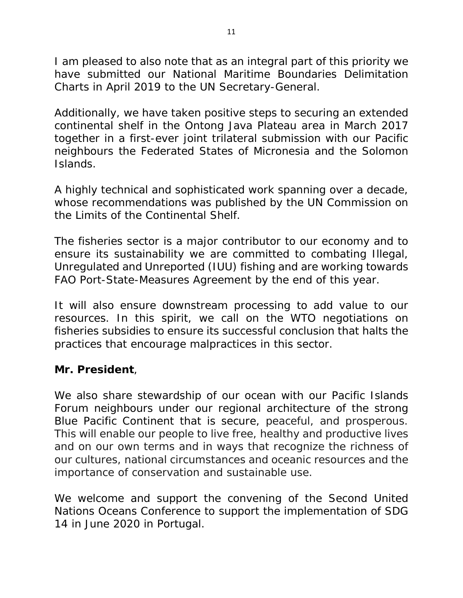I am pleased to also note that as an integral part of this priority we have submitted our National Maritime Boundaries Delimitation Charts in April 2019 to the UN Secretary-General.

Additionally, we have taken positive steps to securing an extended continental shelf in the Ontong Java Plateau area in March 2017 together in a first-ever joint trilateral submission with our Pacific neighbours the Federated States of Micronesia and the Solomon Islands.

A highly technical and sophisticated work spanning over a decade, whose recommendations was published by the UN Commission on the Limits of the Continental Shelf.

The fisheries sector is a major contributor to our economy and to ensure its sustainability we are committed to combating Illegal, Unregulated and Unreported (IUU) fishing and are working towards FAO Port-State-Measures Agreement by the end of this year.

It will also ensure downstream processing to add value to our resources. In this spirit, we call on the WTO negotiations on fisheries subsidies to ensure its successful conclusion that halts the practices that encourage malpractices in this sector.

## **Mr. President**,

We also share stewardship of our ocean with our Pacific Islands Forum neighbours under our regional architecture of the strong Blue Pacific Continent that is secure, peaceful, and prosperous. This will enable our people to live free, healthy and productive lives and on our own terms and in ways that recognize the richness of our cultures, national circumstances and oceanic resources and the importance of conservation and sustainable use.

We welcome and support the convening of the Second United Nations Oceans Conference to support the implementation of SDG 14 in June 2020 in Portugal.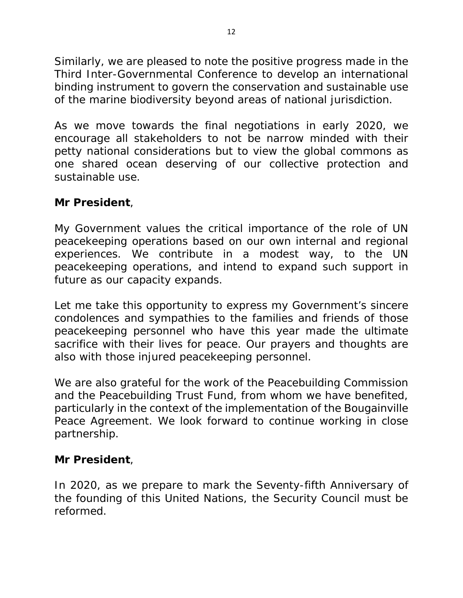Similarly, we are pleased to note the positive progress made in the Third Inter-Governmental Conference to develop an international binding instrument to govern the conservation and sustainable use of the marine biodiversity beyond areas of national jurisdiction.

As we move towards the final negotiations in early 2020, we encourage all stakeholders to not be narrow minded with their petty national considerations but to view the global commons as one shared ocean deserving of our collective protection and sustainable use.

# **Mr President**,

My Government values the critical importance of the role of UN peacekeeping operations based on our own internal and regional experiences. We contribute in a modest way, to the UN peacekeeping operations, and intend to expand such support in future as our capacity expands.

Let me take this opportunity to express my Government's sincere condolences and sympathies to the families and friends of those peacekeeping personnel who have this year made the ultimate sacrifice with their lives for peace. Our prayers and thoughts are also with those injured peacekeeping personnel.

We are also grateful for the work of the Peacebuilding Commission and the Peacebuilding Trust Fund, from whom we have benefited, particularly in the context of the implementation of the Bougainville Peace Agreement. We look forward to continue working in close partnership.

## **Mr President**,

In 2020, as we prepare to mark the Seventy-fifth Anniversary of the founding of this United Nations, the Security Council must be reformed.